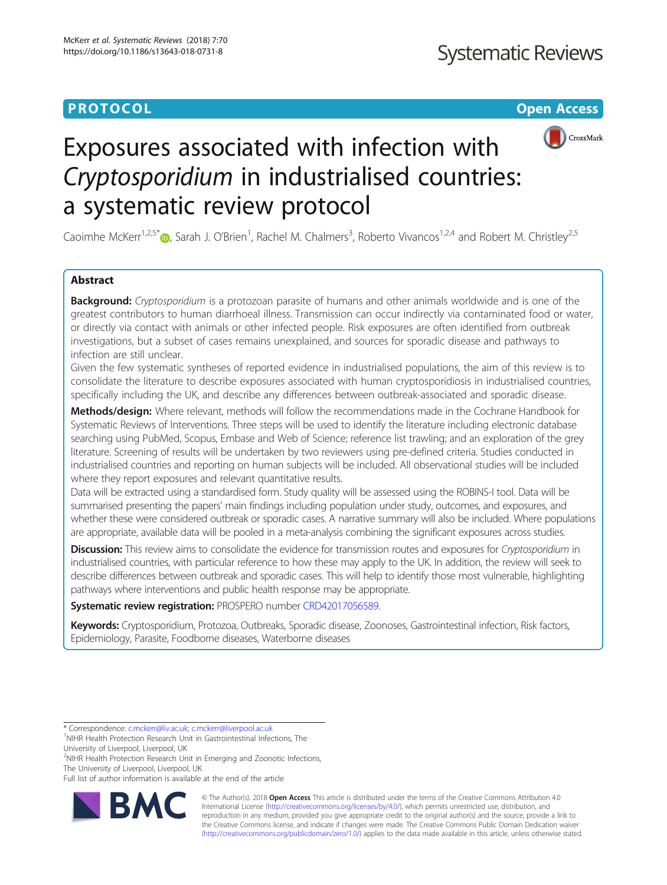## **PROTOCOL CONSUMING THE OPEN ACCESS**



# Exposures associated with infection with Cryptosporidium in industrialised countries: a systematic review protocol

Caoimhe McKerr<sup>1[,](http://orcid.org/0000-0002-5017-4004)2,5\*</sup> (**b**, Sarah J. O'Brien<sup>1</sup>, Rachel M. Chalmers<sup>3</sup>, Roberto Vivancos<sup>1,2,4</sup> and Robert M. Christley<sup>2,5</sup>

## Abstract

Background: Cryptosporidium is a protozoan parasite of humans and other animals worldwide and is one of the greatest contributors to human diarrhoeal illness. Transmission can occur indirectly via contaminated food or water, or directly via contact with animals or other infected people. Risk exposures are often identified from outbreak investigations, but a subset of cases remains unexplained, and sources for sporadic disease and pathways to infection are still unclear.

Given the few systematic syntheses of reported evidence in industrialised populations, the aim of this review is to consolidate the literature to describe exposures associated with human cryptosporidiosis in industrialised countries, specifically including the UK, and describe any differences between outbreak-associated and sporadic disease.

Methods/design: Where relevant, methods will follow the recommendations made in the Cochrane Handbook for Systematic Reviews of Interventions. Three steps will be used to identify the literature including electronic database searching using PubMed, Scopus, Embase and Web of Science; reference list trawling; and an exploration of the grey literature. Screening of results will be undertaken by two reviewers using pre-defined criteria. Studies conducted in industrialised countries and reporting on human subjects will be included. All observational studies will be included where they report exposures and relevant quantitative results.

Data will be extracted using a standardised form. Study quality will be assessed using the ROBINS-I tool. Data will be summarised presenting the papers' main findings including population under study, outcomes, and exposures, and whether these were considered outbreak or sporadic cases. A narrative summary will also be included. Where populations are appropriate, available data will be pooled in a meta-analysis combining the significant exposures across studies.

Discussion: This review aims to consolidate the evidence for transmission routes and exposures for Cryptosporidium in industrialised countries, with particular reference to how these may apply to the UK. In addition, the review will seek to describe differences between outbreak and sporadic cases. This will help to identify those most vulnerable, highlighting pathways where interventions and public health response may be appropriate.

## Systematic review registration: PROSPERO number [CRD42017056589](http://www.crd.york.ac.uk/PROSPERO/display_record.php?ID=CRD42017056589).

Keywords: Cryptosporidium, Protozoa, Outbreaks, Sporadic disease, Zoonoses, Gastrointestinal infection, Risk factors, Epidemiology, Parasite, Foodborne diseases, Waterborne diseases

\* Correspondence: [c.mckerr@liv.ac.uk;](mailto:c.mckerr@liv.ac.uk) [c.mckerr@liverpool.ac.uk](mailto:c.mckerr@liverpool.ac.uk) <sup>1</sup>

<sup>1</sup>NIHR Health Protection Research Unit in Gastrointestinal Infections, The University of Liverpool, Liverpool, UK

<sup>2</sup>NIHR Health Protection Research Unit in Emerging and Zoonotic Infections, The University of Liverpool, Liverpool, UK

Full list of author information is available at the end of the article



© The Author(s). 2018 Open Access This article is distributed under the terms of the Creative Commons Attribution 4.0 International License [\(http://creativecommons.org/licenses/by/4.0/](http://creativecommons.org/licenses/by/4.0/)), which permits unrestricted use, distribution, and reproduction in any medium, provided you give appropriate credit to the original author(s) and the source, provide a link to the Creative Commons license, and indicate if changes were made. The Creative Commons Public Domain Dedication waiver [\(http://creativecommons.org/publicdomain/zero/1.0/](http://creativecommons.org/publicdomain/zero/1.0/)) applies to the data made available in this article, unless otherwise stated.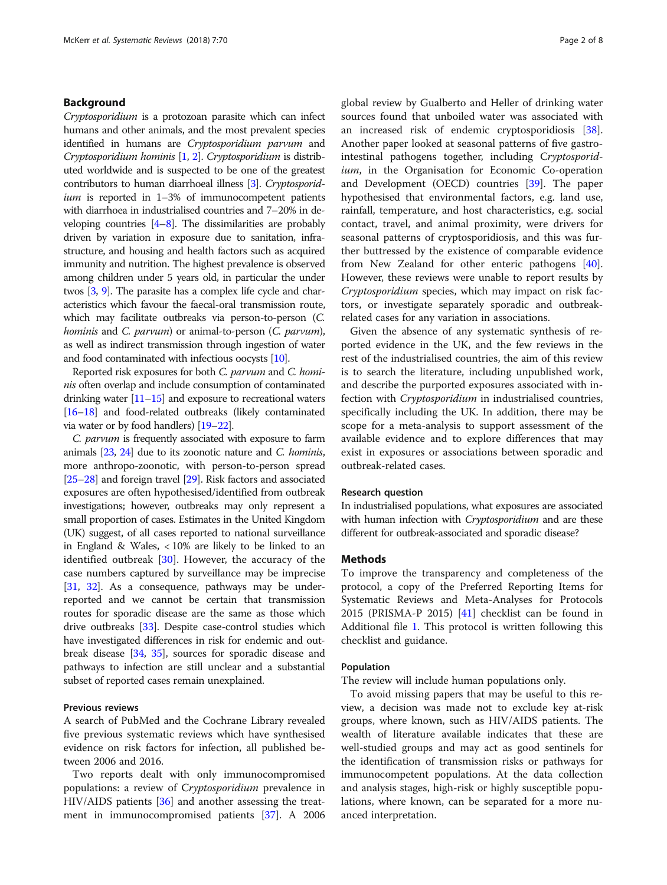## Background

Cryptosporidium is a protozoan parasite which can infect humans and other animals, and the most prevalent species identified in humans are Cryptosporidium parvum and Cryptosporidium hominis [\[1,](#page-6-0) [2\]](#page-6-0). Cryptosporidium is distributed worldwide and is suspected to be one of the greatest contributors to human diarrhoeal illness [[3](#page-6-0)]. Cryptosporid $ium$  is reported in  $1-3%$  of immunocompetent patients with diarrhoea in industrialised countries and 7–20% in developing countries [[4](#page-6-0)–[8\]](#page-6-0). The dissimilarities are probably driven by variation in exposure due to sanitation, infrastructure, and housing and health factors such as acquired immunity and nutrition. The highest prevalence is observed among children under 5 years old, in particular the under twos [\[3,](#page-6-0) [9](#page-6-0)]. The parasite has a complex life cycle and characteristics which favour the faecal-oral transmission route, which may facilitate outbreaks via person-to-person (C. hominis and C. parvum) or animal-to-person (C. parvum), as well as indirect transmission through ingestion of water and food contaminated with infectious oocysts [[10\]](#page-6-0).

Reported risk exposures for both C. parvum and C. hominis often overlap and include consumption of contaminated drinking water [[11](#page-6-0)–[15](#page-6-0)] and exposure to recreational waters [[16](#page-6-0)–[18](#page-6-0)] and food-related outbreaks (likely contaminated via water or by food handlers) [\[19](#page-6-0)–[22\]](#page-6-0).

C. parvum is frequently associated with exposure to farm animals [[23,](#page-6-0) [24](#page-6-0)] due to its zoonotic nature and C. hominis, more anthropo-zoonotic, with person-to-person spread [[25](#page-6-0)–[28\]](#page-6-0) and foreign travel [\[29](#page-6-0)]. Risk factors and associated exposures are often hypothesised/identified from outbreak investigations; however, outbreaks may only represent a small proportion of cases. Estimates in the United Kingdom (UK) suggest, of all cases reported to national surveillance in England & Wales, < 10% are likely to be linked to an identified outbreak [\[30](#page-6-0)]. However, the accuracy of the case numbers captured by surveillance may be imprecise [[31](#page-6-0), [32\]](#page-6-0). As a consequence, pathways may be underreported and we cannot be certain that transmission routes for sporadic disease are the same as those which drive outbreaks [\[33](#page-6-0)]. Despite case-control studies which have investigated differences in risk for endemic and outbreak disease [\[34,](#page-6-0) [35\]](#page-6-0), sources for sporadic disease and pathways to infection are still unclear and a substantial subset of reported cases remain unexplained.

## Previous reviews

A search of PubMed and the Cochrane Library revealed five previous systematic reviews which have synthesised evidence on risk factors for infection, all published between 2006 and 2016.

Two reports dealt with only immunocompromised populations: a review of Cryptosporidium prevalence in  $HIV/AIDS$  patients  $[36]$  $[36]$  and another assessing the treatment in immunocompromised patients [\[37](#page-7-0)]. A 2006 global review by Gualberto and Heller of drinking water sources found that unboiled water was associated with an increased risk of endemic cryptosporidiosis [\[38](#page-7-0)]. Another paper looked at seasonal patterns of five gastrointestinal pathogens together, including Cryptosporidium, in the Organisation for Economic Co-operation and Development (OECD) countries [\[39](#page-7-0)]. The paper hypothesised that environmental factors, e.g. land use, rainfall, temperature, and host characteristics, e.g. social contact, travel, and animal proximity, were drivers for seasonal patterns of cryptosporidiosis, and this was further buttressed by the existence of comparable evidence from New Zealand for other enteric pathogens [\[40](#page-7-0)]. However, these reviews were unable to report results by Cryptosporidium species, which may impact on risk factors, or investigate separately sporadic and outbreakrelated cases for any variation in associations.

Given the absence of any systematic synthesis of reported evidence in the UK, and the few reviews in the rest of the industrialised countries, the aim of this review is to search the literature, including unpublished work, and describe the purported exposures associated with infection with Cryptosporidium in industrialised countries, specifically including the UK. In addition, there may be scope for a meta-analysis to support assessment of the available evidence and to explore differences that may exist in exposures or associations between sporadic and outbreak-related cases.

#### Research question

In industrialised populations, what exposures are associated with human infection with *Cryptosporidium* and are these different for outbreak-associated and sporadic disease?

#### Methods

To improve the transparency and completeness of the protocol, a copy of the Preferred Reporting Items for Systematic Reviews and Meta-Analyses for Protocols 2015 (PRISMA-P 2015) [\[41\]](#page-7-0) checklist can be found in Additional file [1.](#page-5-0) This protocol is written following this checklist and guidance.

#### Population

The review will include human populations only.

To avoid missing papers that may be useful to this review, a decision was made not to exclude key at-risk groups, where known, such as HIV/AIDS patients. The wealth of literature available indicates that these are well-studied groups and may act as good sentinels for the identification of transmission risks or pathways for immunocompetent populations. At the data collection and analysis stages, high-risk or highly susceptible populations, where known, can be separated for a more nuanced interpretation.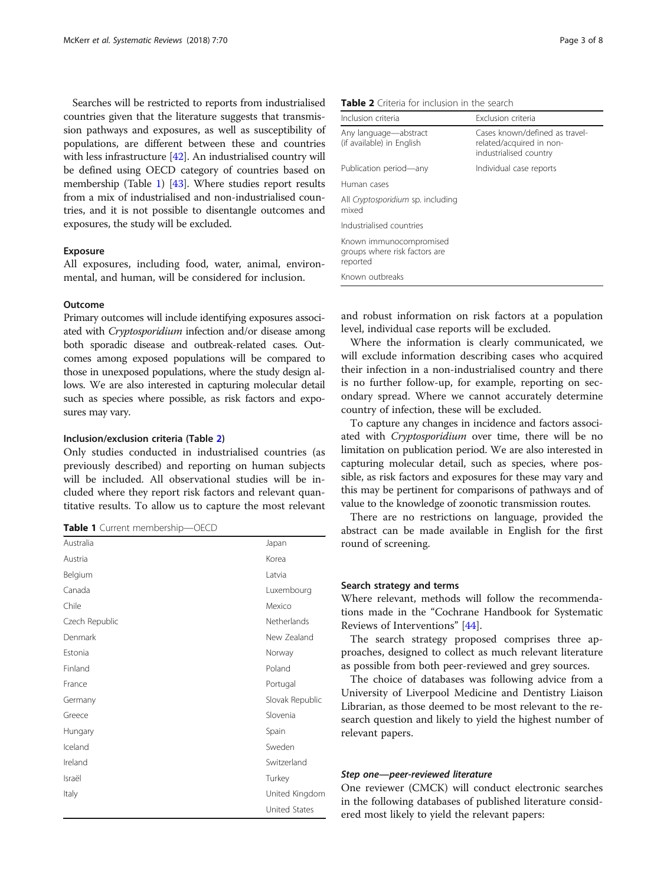Searches will be restricted to reports from industrialised countries given that the literature suggests that transmission pathways and exposures, as well as susceptibility of populations, are different between these and countries with less infrastructure [\[42\]](#page-7-0). An industrialised country will be defined using OECD category of countries based on membership (Table 1) [\[43\]](#page-7-0). Where studies report results from a mix of industrialised and non-industrialised countries, and it is not possible to disentangle outcomes and exposures, the study will be excluded.

## Exposure

All exposures, including food, water, animal, environmental, and human, will be considered for inclusion.

## Outcome

Primary outcomes will include identifying exposures associated with *Cryptosporidium* infection and/or disease among both sporadic disease and outbreak-related cases. Outcomes among exposed populations will be compared to those in unexposed populations, where the study design allows. We are also interested in capturing molecular detail such as species where possible, as risk factors and exposures may vary.

#### Inclusion/exclusion criteria (Table 2)

Only studies conducted in industrialised countries (as previously described) and reporting on human subjects will be included. All observational studies will be included where they report risk factors and relevant quantitative results. To allow us to capture the most relevant

|  |  | Table 1 Current membership-OECD |  |
|--|--|---------------------------------|--|
|--|--|---------------------------------|--|

| Australia      | Japan                |
|----------------|----------------------|
| Austria        | Korea                |
| Belgium        | Latvia               |
| Canada         | Luxembourg           |
| Chile          | Mexico               |
| Czech Republic | Netherlands          |
| Denmark        | New Zealand          |
| Estonia        | Norway               |
| Finland        | Poland               |
| France         | Portugal             |
| Germany        | Slovak Republic      |
| Greece         | Slovenia             |
| Hungary        | Spain                |
| Iceland        | Sweden               |
| Ireland        | Switzerland          |
| Israël         | Turkey               |
| Italy          | United Kingdom       |
|                | <b>United States</b> |

#### Table 2 Criteria for inclusion in the search

| Inclusion criteria                                                   | Exclusion criteria                                                                   |  |  |
|----------------------------------------------------------------------|--------------------------------------------------------------------------------------|--|--|
| Any language-abstract<br>(if available) in English                   | Cases known/defined as travel-<br>related/acquired in non-<br>industrialised country |  |  |
| Publication period-any                                               | Individual case reports                                                              |  |  |
| Human cases                                                          |                                                                                      |  |  |
| All Cryptosporidium sp. including<br>mixed                           |                                                                                      |  |  |
| Industrialised countries                                             |                                                                                      |  |  |
| Known immunocompromised<br>groups where risk factors are<br>reported |                                                                                      |  |  |
| Known outbreaks                                                      |                                                                                      |  |  |

and robust information on risk factors at a population level, individual case reports will be excluded.

Where the information is clearly communicated, we will exclude information describing cases who acquired their infection in a non-industrialised country and there is no further follow-up, for example, reporting on secondary spread. Where we cannot accurately determine country of infection, these will be excluded.

To capture any changes in incidence and factors associated with Cryptosporidium over time, there will be no limitation on publication period. We are also interested in capturing molecular detail, such as species, where possible, as risk factors and exposures for these may vary and this may be pertinent for comparisons of pathways and of value to the knowledge of zoonotic transmission routes.

There are no restrictions on language, provided the abstract can be made available in English for the first round of screening.

#### Search strategy and terms

Where relevant, methods will follow the recommendations made in the "Cochrane Handbook for Systematic Reviews of Interventions" [[44](#page-7-0)].

The search strategy proposed comprises three approaches, designed to collect as much relevant literature as possible from both peer-reviewed and grey sources.

The choice of databases was following advice from a University of Liverpool Medicine and Dentistry Liaison Librarian, as those deemed to be most relevant to the research question and likely to yield the highest number of relevant papers.

## Step one—peer-reviewed literature

One reviewer (CMCK) will conduct electronic searches in the following databases of published literature considered most likely to yield the relevant papers: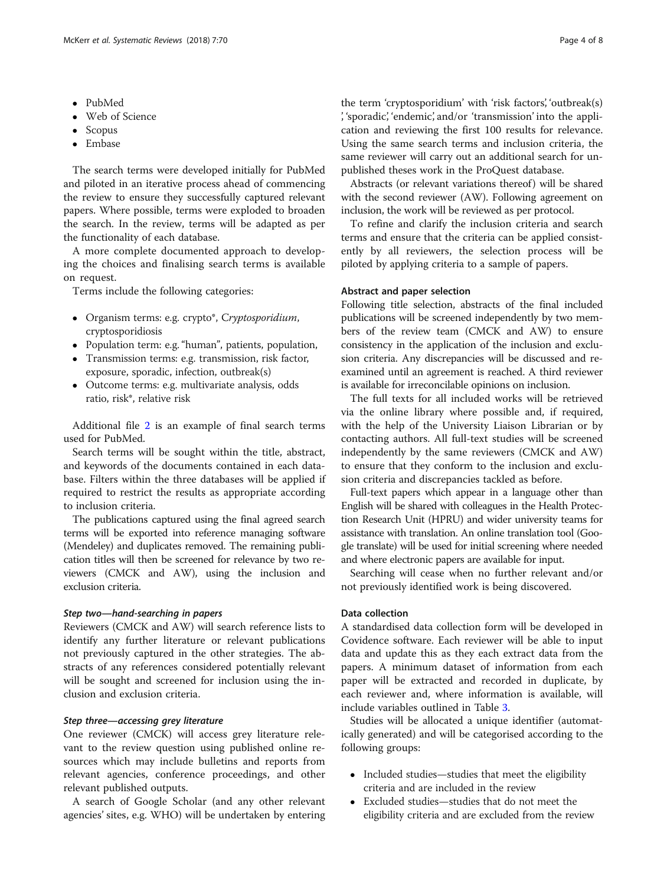- PubMed
- Web of Science
- Scopus
- Embase

The search terms were developed initially for PubMed and piloted in an iterative process ahead of commencing the review to ensure they successfully captured relevant papers. Where possible, terms were exploded to broaden the search. In the review, terms will be adapted as per the functionality of each database.

A more complete documented approach to developing the choices and finalising search terms is available on request.

Terms include the following categories:

- Organism terms: e.g. crypto\*, Cryptosporidium, cryptosporidiosis
- Population term: e.g."human", patients, population,
- Transmission terms: e.g. transmission, risk factor, exposure, sporadic, infection, outbreak(s)
- Outcome terms: e.g. multivariate analysis, odds ratio, risk\*, relative risk

Additional file [2](#page-5-0) is an example of final search terms used for PubMed.

Search terms will be sought within the title, abstract, and keywords of the documents contained in each database. Filters within the three databases will be applied if required to restrict the results as appropriate according to inclusion criteria.

The publications captured using the final agreed search terms will be exported into reference managing software (Mendeley) and duplicates removed. The remaining publication titles will then be screened for relevance by two reviewers (CMCK and AW), using the inclusion and exclusion criteria.

### Step two—hand-searching in papers

Reviewers (CMCK and AW) will search reference lists to identify any further literature or relevant publications not previously captured in the other strategies. The abstracts of any references considered potentially relevant will be sought and screened for inclusion using the inclusion and exclusion criteria.

## Step three—accessing grey literature

One reviewer (CMCK) will access grey literature relevant to the review question using published online resources which may include bulletins and reports from relevant agencies, conference proceedings, and other relevant published outputs.

A search of Google Scholar (and any other relevant agencies' sites, e.g. WHO) will be undertaken by entering the term 'cryptosporidium' with 'risk factors', 'outbreak(s) ', 'sporadic', 'endemic', and/or 'transmission' into the application and reviewing the first 100 results for relevance. Using the same search terms and inclusion criteria, the same reviewer will carry out an additional search for unpublished theses work in the ProQuest database.

Abstracts (or relevant variations thereof) will be shared with the second reviewer (AW). Following agreement on inclusion, the work will be reviewed as per protocol.

To refine and clarify the inclusion criteria and search terms and ensure that the criteria can be applied consistently by all reviewers, the selection process will be piloted by applying criteria to a sample of papers.

#### Abstract and paper selection

Following title selection, abstracts of the final included publications will be screened independently by two members of the review team (CMCK and AW) to ensure consistency in the application of the inclusion and exclusion criteria. Any discrepancies will be discussed and reexamined until an agreement is reached. A third reviewer is available for irreconcilable opinions on inclusion.

The full texts for all included works will be retrieved via the online library where possible and, if required, with the help of the University Liaison Librarian or by contacting authors. All full-text studies will be screened independently by the same reviewers (CMCK and AW) to ensure that they conform to the inclusion and exclusion criteria and discrepancies tackled as before.

Full-text papers which appear in a language other than English will be shared with colleagues in the Health Protection Research Unit (HPRU) and wider university teams for assistance with translation. An online translation tool (Google translate) will be used for initial screening where needed and where electronic papers are available for input.

Searching will cease when no further relevant and/or not previously identified work is being discovered.

#### Data collection

A standardised data collection form will be developed in Covidence software. Each reviewer will be able to input data and update this as they each extract data from the papers. A minimum dataset of information from each paper will be extracted and recorded in duplicate, by each reviewer and, where information is available, will include variables outlined in Table [3](#page-4-0).

Studies will be allocated a unique identifier (automatically generated) and will be categorised according to the following groups:

- Included studies—studies that meet the eligibility criteria and are included in the review
- Excluded studies—studies that do not meet the eligibility criteria and are excluded from the review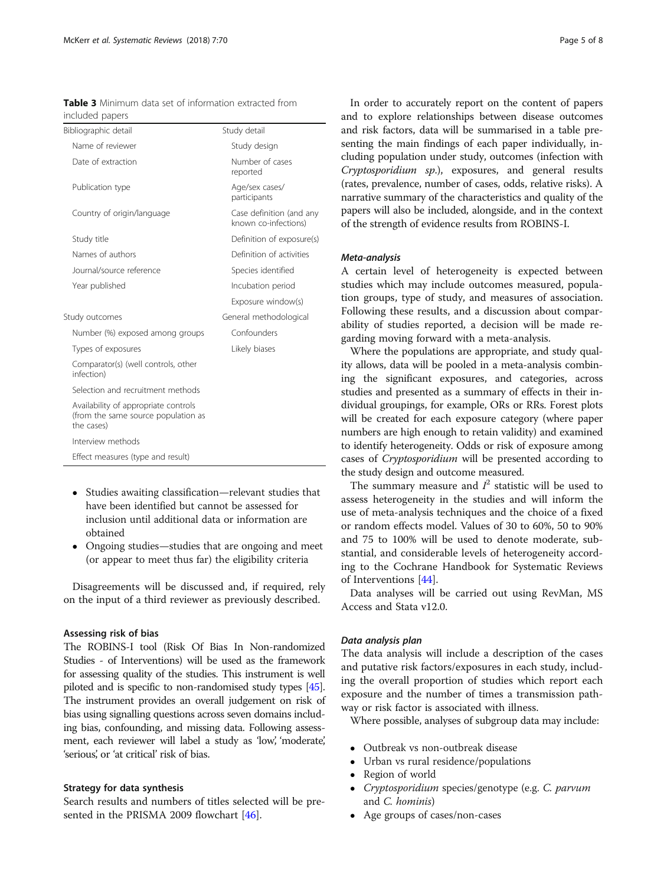<span id="page-4-0"></span>

|                 |  |  | <b>Table 3</b> Minimum data set of information extracted from |  |
|-----------------|--|--|---------------------------------------------------------------|--|
| included papers |  |  |                                                               |  |

| Bibliographic detail                                                                      | Study detail                                     |  |  |
|-------------------------------------------------------------------------------------------|--------------------------------------------------|--|--|
| Name of reviewer                                                                          | Study design                                     |  |  |
| Date of extraction                                                                        | Number of cases<br>reported                      |  |  |
| Publication type                                                                          | Age/sex cases/<br>participants                   |  |  |
| Country of origin/language                                                                | Case definition (and any<br>known co-infections) |  |  |
| Study title                                                                               | Definition of exposure(s)                        |  |  |
| Names of authors                                                                          | Definition of activities                         |  |  |
| Journal/source reference                                                                  | Species identified                               |  |  |
| Year published                                                                            | Incubation period                                |  |  |
|                                                                                           | Exposure window(s)                               |  |  |
| Study outcomes                                                                            | General methodological                           |  |  |
| Number (%) exposed among groups                                                           | Confounders                                      |  |  |
| Types of exposures                                                                        | Likely biases                                    |  |  |
| Comparator(s) (well controls, other<br>infection)                                         |                                                  |  |  |
| Selection and recruitment methods                                                         |                                                  |  |  |
| Availability of appropriate controls<br>(from the same source population as<br>the cases) |                                                  |  |  |
| Interview methods                                                                         |                                                  |  |  |
| Effect measures (type and result)                                                         |                                                  |  |  |

- Studies awaiting classification—relevant studies that have been identified but cannot be assessed for inclusion until additional data or information are obtained
- Ongoing studies—studies that are ongoing and meet (or appear to meet thus far) the eligibility criteria

Disagreements will be discussed and, if required, rely on the input of a third reviewer as previously described.

## Assessing risk of bias

The ROBINS-I tool (Risk Of Bias In Non-randomized Studies - of Interventions) will be used as the framework for assessing quality of the studies. This instrument is well piloted and is specific to non-randomised study types [\[45](#page-7-0)]. The instrument provides an overall judgement on risk of bias using signalling questions across seven domains including bias, confounding, and missing data. Following assessment, each reviewer will label a study as 'low', 'moderate', 'serious', or 'at critical' risk of bias.

#### Strategy for data synthesis

Search results and numbers of titles selected will be presented in the PRISMA 2009 flowchart [[46\]](#page-7-0).

In order to accurately report on the content of papers and to explore relationships between disease outcomes and risk factors, data will be summarised in a table presenting the main findings of each paper individually, including population under study, outcomes (infection with Cryptosporidium sp.), exposures, and general results (rates, prevalence, number of cases, odds, relative risks). A narrative summary of the characteristics and quality of the papers will also be included, alongside, and in the context of the strength of evidence results from ROBINS-I.

#### Meta-analysis

A certain level of heterogeneity is expected between studies which may include outcomes measured, population groups, type of study, and measures of association. Following these results, and a discussion about comparability of studies reported, a decision will be made regarding moving forward with a meta-analysis.

Where the populations are appropriate, and study quality allows, data will be pooled in a meta-analysis combining the significant exposures, and categories, across studies and presented as a summary of effects in their individual groupings, for example, ORs or RRs. Forest plots will be created for each exposure category (where paper numbers are high enough to retain validity) and examined to identify heterogeneity. Odds or risk of exposure among cases of Cryptosporidium will be presented according to the study design and outcome measured.

The summary measure and  $I^2$  statistic will be used to assess heterogeneity in the studies and will inform the use of meta-analysis techniques and the choice of a fixed or random effects model. Values of 30 to 60%, 50 to 90% and 75 to 100% will be used to denote moderate, substantial, and considerable levels of heterogeneity according to the Cochrane Handbook for Systematic Reviews of Interventions [\[44](#page-7-0)].

Data analyses will be carried out using RevMan, MS Access and Stata v12.0.

## Data analysis plan

The data analysis will include a description of the cases and putative risk factors/exposures in each study, including the overall proportion of studies which report each exposure and the number of times a transmission pathway or risk factor is associated with illness.

Where possible, analyses of subgroup data may include:

- Outbreak vs non-outbreak disease
- Urban vs rural residence/populations
- Region of world
- Cryptosporidium species/genotype (e.g. C. parvum and C. hominis)
- Age groups of cases/non-cases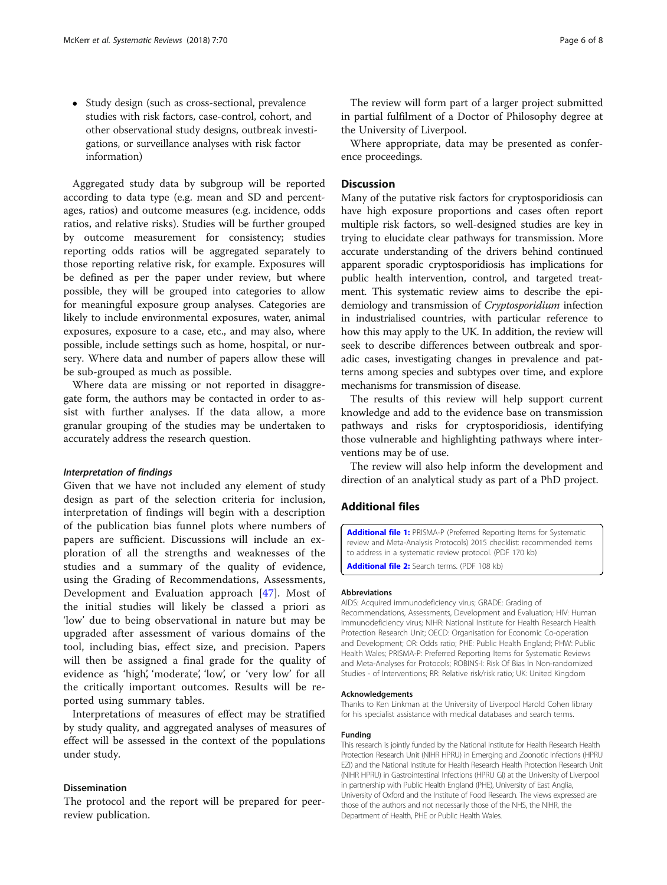<span id="page-5-0"></span>• Study design (such as cross-sectional, prevalence studies with risk factors, case-control, cohort, and other observational study designs, outbreak investigations, or surveillance analyses with risk factor information)

Aggregated study data by subgroup will be reported according to data type (e.g. mean and SD and percentages, ratios) and outcome measures (e.g. incidence, odds ratios, and relative risks). Studies will be further grouped by outcome measurement for consistency; studies reporting odds ratios will be aggregated separately to those reporting relative risk, for example. Exposures will be defined as per the paper under review, but where possible, they will be grouped into categories to allow for meaningful exposure group analyses. Categories are likely to include environmental exposures, water, animal exposures, exposure to a case, etc., and may also, where possible, include settings such as home, hospital, or nursery. Where data and number of papers allow these will be sub-grouped as much as possible.

Where data are missing or not reported in disaggregate form, the authors may be contacted in order to assist with further analyses. If the data allow, a more granular grouping of the studies may be undertaken to accurately address the research question.

#### Interpretation of findings

Given that we have not included any element of study design as part of the selection criteria for inclusion, interpretation of findings will begin with a description of the publication bias funnel plots where numbers of papers are sufficient. Discussions will include an exploration of all the strengths and weaknesses of the studies and a summary of the quality of evidence, using the Grading of Recommendations, Assessments, Development and Evaluation approach [[47\]](#page-7-0). Most of the initial studies will likely be classed a priori as 'low' due to being observational in nature but may be upgraded after assessment of various domains of the tool, including bias, effect size, and precision. Papers will then be assigned a final grade for the quality of evidence as 'high', 'moderate', 'low', or 'very low' for all the critically important outcomes. Results will be reported using summary tables.

Interpretations of measures of effect may be stratified by study quality, and aggregated analyses of measures of effect will be assessed in the context of the populations under study.

## Dissemination

The protocol and the report will be prepared for peerreview publication.

The review will form part of a larger project submitted in partial fulfilment of a Doctor of Philosophy degree at the University of Liverpool.

Where appropriate, data may be presented as conference proceedings.

## **Discussion**

Many of the putative risk factors for cryptosporidiosis can have high exposure proportions and cases often report multiple risk factors, so well-designed studies are key in trying to elucidate clear pathways for transmission. More accurate understanding of the drivers behind continued apparent sporadic cryptosporidiosis has implications for public health intervention, control, and targeted treatment. This systematic review aims to describe the epidemiology and transmission of Cryptosporidium infection in industrialised countries, with particular reference to how this may apply to the UK. In addition, the review will seek to describe differences between outbreak and sporadic cases, investigating changes in prevalence and patterns among species and subtypes over time, and explore mechanisms for transmission of disease.

The results of this review will help support current knowledge and add to the evidence base on transmission pathways and risks for cryptosporidiosis, identifying those vulnerable and highlighting pathways where interventions may be of use.

The review will also help inform the development and direction of an analytical study as part of a PhD project.

## Additional files

[Additional file 1:](https://doi.org/10.1186/s13643-018-0731-8) PRISMA-P (Preferred Reporting Items for Systematic review and Meta-Analysis Protocols) 2015 checklist: recommended items to address in a systematic review protocol. (PDF 170 kb)

[Additional file 2:](https://doi.org/10.1186/s13643-018-0731-8) Search terms. (PDF 108 kb)

#### Abbreviations

AIDS: Acquired immunodeficiency virus; GRADE: Grading of Recommendations, Assessments, Development and Evaluation; HIV: Human immunodeficiency virus; NIHR: National Institute for Health Research Health Protection Research Unit; OECD: Organisation for Economic Co-operation and Development; OR: Odds ratio; PHE: Public Health England; PHW: Public Health Wales; PRISMA-P: Preferred Reporting Items for Systematic Reviews and Meta-Analyses for Protocols; ROBINS-I: Risk Of Bias In Non-randomized Studies - of Interventions; RR: Relative risk/risk ratio; UK: United Kingdom

#### Acknowledgements

Thanks to Ken Linkman at the University of Liverpool Harold Cohen library for his specialist assistance with medical databases and search terms.

#### Funding

This research is jointly funded by the National Institute for Health Research Health Protection Research Unit (NIHR HPRU) in Emerging and Zoonotic Infections (HPRU EZI) and the National Institute for Health Research Health Protection Research Unit (NIHR HPRU) in Gastrointestinal Infections (HPRU GI) at the University of Liverpool in partnership with Public Health England (PHE), University of East Anglia, University of Oxford and the Institute of Food Research. The views expressed are those of the authors and not necessarily those of the NHS, the NIHR, the Department of Health, PHE or Public Health Wales.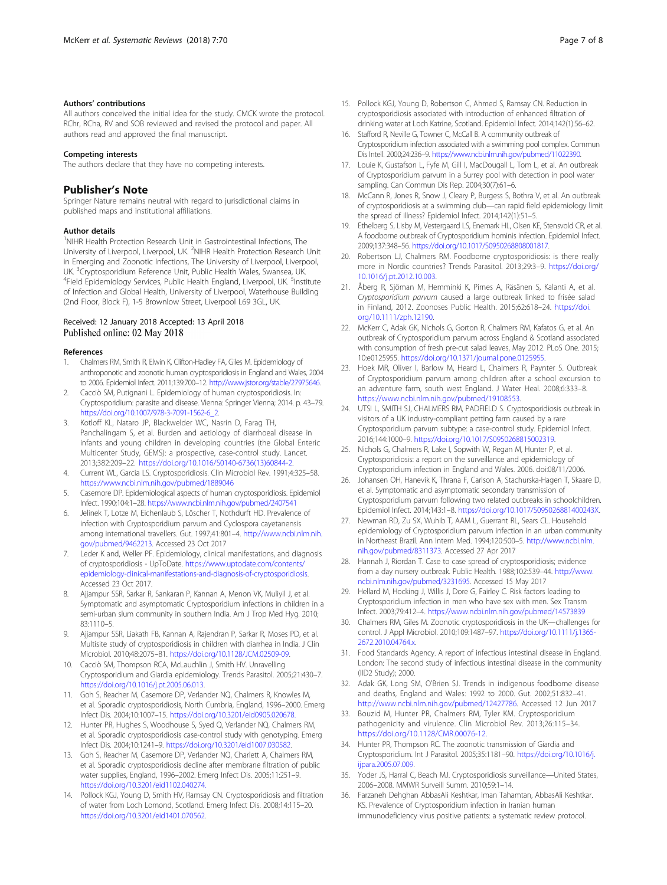#### <span id="page-6-0"></span>Authors' contributions

All authors conceived the initial idea for the study. CMCK wrote the protocol. RChr, RCha, RV and SOB reviewed and revised the protocol and paper. All authors read and approved the final manuscript.

#### Competing interests

The authors declare that they have no competing interests.

#### Publisher's Note

Springer Nature remains neutral with regard to jurisdictional claims in published maps and institutional affiliations.

#### Author details

<sup>1</sup>NIHR Health Protection Research Unit in Gastrointestinal Infections, The University of Liverpool, Liverpool, UK. <sup>2</sup>NIHR Health Protection Research Unit in Emerging and Zoonotic Infections, The University of Liverpool, Liverpool, UK. <sup>3</sup>Cryptosporidium Reference Unit, Public Health Wales, Swansea, UK.<br><sup>4</sup>Field Epidomialogy Sonrices, Public Hoalth Epoland, Liverpool, UK. <sup>5</sup>last Field Epidemiology Services, Public Health England, Liverpool, UK. <sup>5</sup>Institute of Infection and Global Health, University of Liverpool, Waterhouse Building (2nd Floor, Block F), 1-5 Brownlow Street, Liverpool L69 3GL, UK.

#### Received: 12 January 2018 Accepted: 13 April 2018 Published online: 02 May 2018

#### References

- 1. Chalmers RM, Smith R, Elwin K, Clifton-Hadley FA, Giles M. Epidemiology of anthroponotic and zoonotic human cryptosporidiosis in England and Wales, 2004 to 2006. Epidemiol Infect. 2011;139:700–12. [http://www.jstor.org/stable/27975646.](http://www.jstor.org/stable/27975646)
- 2. Cacciò SM, Putignani L. Epidemiology of human cryptosporidiosis. In: Cryptosporidium: parasite and disease. Vienna: Springer Vienna; 2014. p. 43–79. [https://doi.org/10.1007/978-3-7091-1562-6\\_2.](https://doi.org/10.1007/978-3-7091-1562-6_2)
- Kotloff KL, Nataro JP, Blackwelder WC, Nasrin D, Farag TH, Panchalingam S, et al. Burden and aetiology of diarrhoeal disease in infants and young children in developing countries (the Global Enteric Multicenter Study, GEMS): a prospective, case-control study. Lancet. 2013;382:209–22. [https://doi.org/10.1016/S0140-6736\(13\)60844-2](https://doi.org/10.1016/S0140-6736(13)60844-2).
- 4. Current WL, Garcia LS. Cryptosporidiosis. Clin Microbiol Rev. 1991;4:325–58. <https://www.ncbi.nlm.nih.gov/pubmed/1889046>
- 5. Casemore DP. Epidemiological aspects of human cryptosporidiosis. Epidemiol Infect. 1990;104:1–28. <https://www.ncbi.nlm.nih.gov/pubmed/2407541>
- Jelinek T, Lotze M, Eichenlaub S, Löscher T, Nothdurft HD. Prevalence of infection with Cryptosporidium parvum and Cyclospora cayetanensis among international travellers. Gut. 1997;41:801–4. [http://www.ncbi.nlm.nih.](http://www.ncbi.nlm.nih.gov/pubmed/9462213) [gov/pubmed/9462213.](http://www.ncbi.nlm.nih.gov/pubmed/9462213) Accessed 23 Oct 2017
- 7. Leder K and, Weller PF. Epidemiology, clinical manifestations, and diagnosis of cryptosporidiosis - UpToDate. [https://www.uptodate.com/contents/](https://www.uptodate.com/contents/epidemiology-clinical-manifestations-and-diagnosis-of-cryptosporidiosis) [epidemiology-clinical-manifestations-and-diagnosis-of-cryptosporidiosis.](https://www.uptodate.com/contents/epidemiology-clinical-manifestations-and-diagnosis-of-cryptosporidiosis) Accessed 23 Oct 2017.
- 8. Ajjampur SSR, Sarkar R, Sankaran P, Kannan A, Menon VK, Muliyil J, et al. Symptomatic and asymptomatic Cryptosporidium infections in children in a semi-urban slum community in southern India. Am J Trop Med Hyg. 2010; 83:1110–5.
- Ajjampur SSR, Liakath FB, Kannan A, Rajendran P, Sarkar R, Moses PD, et al. Multisite study of cryptosporidiosis in children with diarrhea in India. J Clin Microbiol. 2010;48:2075–81. <https://doi.org/10.1128/JCM.02509-09>.
- 10. Cacciò SM, Thompson RCA, McLauchlin J, Smith HV. Unravelling Cryptosporidium and Giardia epidemiology. Trends Parasitol. 2005;21:430–7. [https://doi.org/10.1016/j.pt.2005.06.013.](https://doi.org/10.1016/j.pt.2005.06.013)
- 11. Goh S, Reacher M, Casemore DP, Verlander NQ, Chalmers R, Knowles M, et al. Sporadic cryptosporidiosis, North Cumbria, England, 1996–2000. Emerg Infect Dis. 2004;10:1007–15. <https://doi.org/10.3201/eid0905.020678.>
- 12. Hunter PR, Hughes S, Woodhouse S, Syed Q, Verlander NQ, Chalmers RM, et al. Sporadic cryptosporidiosis case-control study with genotyping. Emerg Infect Dis. 2004;10:1241–9. [https://doi.org/10.3201/eid1007.030582.](https://doi.org/10.3201/eid1007.030582)
- 13. Goh S, Reacher M, Casemore DP, Verlander NQ, Charlett A, Chalmers RM, et al. Sporadic cryptosporidiosis decline after membrane filtration of public water supplies, England, 1996–2002. Emerg Infect Dis. 2005;11:251–9. <https://doi.org/10.3201/eid1102.040274.>
- 14. Pollock KGJ, Young D, Smith HV, Ramsay CN. Cryptosporidiosis and filtration of water from Loch Lomond, Scotland. Emerg Infect Dis. 2008;14:115–20. [https://doi.org/10.3201/eid1401.070562.](https://doi.org/10.3201/eid1401.070562)
- 15. Pollock KGJ, Young D, Robertson C, Ahmed S, Ramsay CN. Reduction in cryptosporidiosis associated with introduction of enhanced filtration of drinking water at Loch Katrine, Scotland. Epidemiol Infect. 2014;142(1):56–62.
- 16. Stafford R, Neville G, Towner C, McCall B. A community outbreak of Cryptosporidium infection associated with a swimming pool complex. Commun Dis Intell. 2000;24:236–9. <https://www.ncbi.nlm.nih.gov/pubmed/11022390>.
- 17. Louie K, Gustafson L, Fyfe M, Gill I, MacDougall L, Tom L, et al. An outbreak of Cryptosporidium parvum in a Surrey pool with detection in pool water sampling. Can Commun Dis Rep. 2004;30(7):61–6.
- 18. McCann R, Jones R, Snow J, Cleary P, Burgess S, Bothra V, et al. An outbreak of cryptosporidiosis at a swimming club—can rapid field epidemiology limit the spread of illness? Epidemiol Infect. 2014;142(1):51–5.
- 19. Ethelberg S, Lisby M, Vestergaard LS, Enemark HL, Olsen KE, Stensvold CR, et al. A foodborne outbreak of Cryptosporidium hominis infection. Epidemiol Infect. 2009;137:348–56. [https://doi.org/10.1017/S0950268808001817.](https://doi.org/10.1017/S0950268808001817)
- 20. Robertson LJ, Chalmers RM. Foodborne cryptosporidiosis: is there really more in Nordic countries? Trends Parasitol. 2013;29:3–9. [https://doi.org/](https://doi.org/10.1016/j.pt.2012.10.003) [10.1016/j.pt.2012.10.003.](https://doi.org/10.1016/j.pt.2012.10.003)
- 21. Åberg R, Sjöman M, Hemminki K, Pirnes A, Räsänen S, Kalanti A, et al. Cryptosporidium parvum caused a large outbreak linked to frisée salad in Finland, 2012. Zoonoses Public Health. 2015;62:618–24. [https://doi.](https://doi.org/10.1111/zph.12190) [org/10.1111/zph.12190.](https://doi.org/10.1111/zph.12190)
- 22. McKerr C, Adak GK, Nichols G, Gorton R, Chalmers RM, Kafatos G, et al. An outbreak of Cryptosporidium parvum across England & Scotland associated with consumption of fresh pre-cut salad leaves, May 2012. PLoS One. 2015; 10:e0125955. <https://doi.org/10.1371/journal.pone.0125955>.
- 23. Hoek MR, Oliver I, Barlow M, Heard L, Chalmers R, Paynter S. Outbreak of Cryptosporidium parvum among children after a school excursion to an adventure farm, south west England. J Water Heal. 2008;6:333–8. <https://www.ncbi.nlm.nih.gov/pubmed/19108553>.
- 24. UTSI L, SMITH SJ, CHALMERS RM, PADFIELD S. Cryptosporidiosis outbreak in visitors of a UK industry-compliant petting farm caused by a rare Cryptosporidium parvum subtype: a case-control study. Epidemiol Infect. 2016;144:1000–9. <https://doi.org/10.1017/S0950268815002319>.
- 25. Nichols G, Chalmers R, Lake I, Sopwith W, Regan M, Hunter P, et al. Cryptosporidiosis: a report on the surveillance and epidemiology of Cryptosporidium infection in England and Wales. 2006. doi:08/11/2006.
- 26. Johansen OH, Hanevik K, Thrana F, Carlson A, Stachurska-Hagen T, Skaare D, et al. Symptomatic and asymptomatic secondary transmission of Cryptosporidium parvum following two related outbreaks in schoolchildren. Epidemiol Infect. 2014;143:1–8. [https://doi.org/10.1017/S095026881400243X.](https://doi.org/10.1017/S095026881400243X)
- 27. Newman RD, Zu SX, Wuhib T, AAM L, Guerrant RL, Sears CL. Household epidemiology of Cryptosporidium parvum infection in an urban community in Northeast Brazil. Ann Intern Med. 1994;120:500–5. [http://www.ncbi.nlm.](http://www.ncbi.nlm.nih.gov/pubmed/8311373) [nih.gov/pubmed/8311373](http://www.ncbi.nlm.nih.gov/pubmed/8311373). Accessed 27 Apr 2017
- 28. Hannah J, Riordan T. Case to case spread of cryptosporidiosis; evidence from a day nursery outbreak. Public Health. 1988;102:539–44. [http://www.](http://www.ncbi.nlm.nih.gov/pubmed/3231695) [ncbi.nlm.nih.gov/pubmed/3231695.](http://www.ncbi.nlm.nih.gov/pubmed/3231695) Accessed 15 May 2017
- 29. Hellard M, Hocking J, Willis J, Dore G, Fairley C. Risk factors leading to Cryptosporidium infection in men who have sex with men. Sex Transm Infect. 2003;79:412–4. <https://www.ncbi.nlm.nih.gov/pubmed/14573839>
- 30. Chalmers RM, Giles M. Zoonotic cryptosporidiosis in the UK—challenges for control. J Appl Microbiol. 2010;109:1487–97. [https://doi.org/10.1111/j.1365-](https://doi.org/10.1111/j.1365-2672.2010.04764.x) [2672.2010.04764.x.](https://doi.org/10.1111/j.1365-2672.2010.04764.x)
- 31. Food Standards Agency. A report of infectious intestinal disease in England. London: The second study of infectious intestinal disease in the community (IID2 Study); 2000.
- 32. Adak GK, Long SM, O'Brien SJ. Trends in indigenous foodborne disease and deaths, England and Wales: 1992 to 2000. Gut. 2002;51:832–41. [http://www.ncbi.nlm.nih.gov/pubmed/12427786.](http://www.ncbi.nlm.nih.gov/pubmed/12427786) Accessed 12 Jun 2017
- 33. Bouzid M, Hunter PR, Chalmers RM, Tyler KM. Cryptosporidium pathogenicity and virulence. Clin Microbiol Rev. 2013;26:115–34. <https://doi.org/10.1128/CMR.00076-12.>
- 34. Hunter PR, Thompson RC. The zoonotic transmission of Giardia and Cryptosporidium. Int J Parasitol. 2005;35:1181–90. [https://doi.org/10.1016/j.](https://doi.org/10.1016/j.ijpara.2005.07.009) [ijpara.2005.07.009](https://doi.org/10.1016/j.ijpara.2005.07.009).
- 35. Yoder JS, Harral C, Beach MJ. Cryptosporidiosis surveillance—United States, 2006–2008. MMWR Surveill Summ. 2010;59:1–14.
- 36. Farzaneh Dehghan AbbasAli Keshtkar, Iman Tahamtan, AbbasAli Keshtkar. KS. Prevalence of Cryptosporidium infection in Iranian human immunodeficiency virus positive patients: a systematic review protocol.